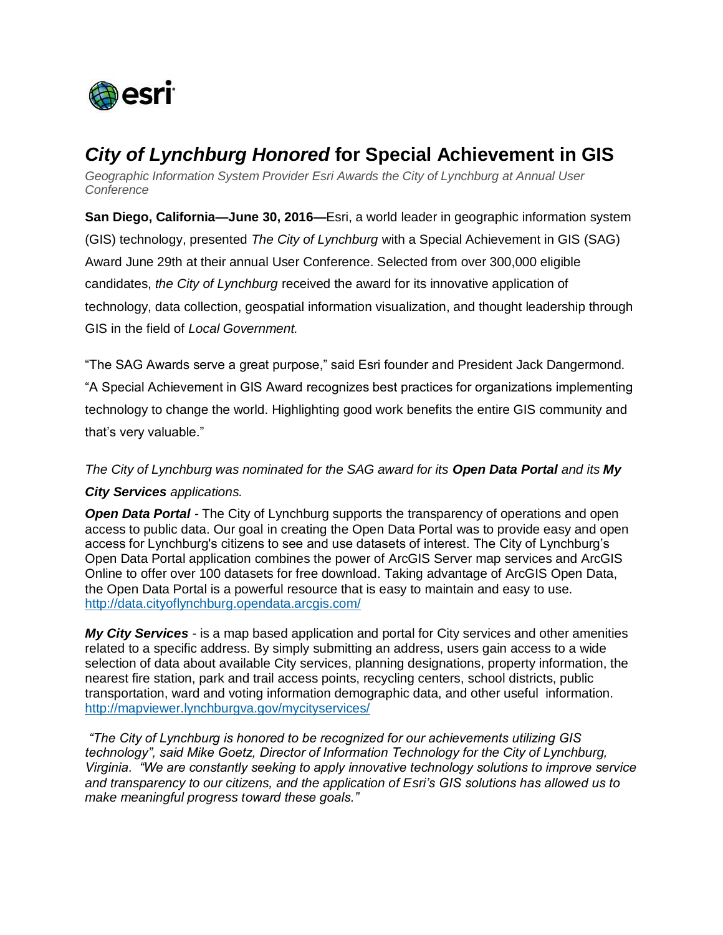

## *City of Lynchburg Honored* **for Special Achievement in GIS**

*Geographic Information System Provider Esri Awards the City of Lynchburg at Annual User Conference*

**San Diego, California—June 30, 2016—**Esri, a world leader in geographic information system (GIS) technology, presented *The City of Lynchburg* with a Special Achievement in GIS (SAG) Award June 29th at their annual User Conference. Selected from over 300,000 eligible candidates, *the City of Lynchburg* received the award for its innovative application of technology, data collection, geospatial information visualization, and thought leadership through GIS in the field of *Local Government.*

"The SAG Awards serve a great purpose," said Esri founder and President Jack Dangermond. "A Special Achievement in GIS Award recognizes best practices for organizations implementing technology to change the world. Highlighting good work benefits the entire GIS community and that's very valuable."

## *The City of Lynchburg was nominated for the SAG award for its Open Data Portal and its My City Services applications.*

*Open Data Portal -* The City of Lynchburg supports the transparency of operations and open access to public data. Our goal in creating the Open Data Portal was to provide easy and open access for Lynchburg's citizens to see and use datasets of interest. The City of Lynchburg's Open Data Portal application combines the power of ArcGIS Server map services and ArcGIS Online to offer over 100 datasets for free download. Taking advantage of ArcGIS Open Data, the Open Data Portal is a powerful resource that is easy to maintain and easy to use. <http://data.cityoflynchburg.opendata.arcgis.com/>

*My City Services -* is a map based application and portal for City services and other amenities related to a specific address. By simply submitting an address, users gain access to a wide selection of data about available City services, planning designations, property information, the nearest fire station, park and trail access points, recycling centers, school districts, public transportation, ward and voting information demographic data, and other useful information. <http://mapviewer.lynchburgva.gov/mycityservices/>

*"The City of Lynchburg is honored to be recognized for our achievements utilizing GIS technology", said Mike Goetz, Director of Information Technology for the City of Lynchburg, Virginia. "We are constantly seeking to apply innovative technology solutions to improve service and transparency to our citizens, and the application of Esri's GIS solutions has allowed us to make meaningful progress toward these goals."*